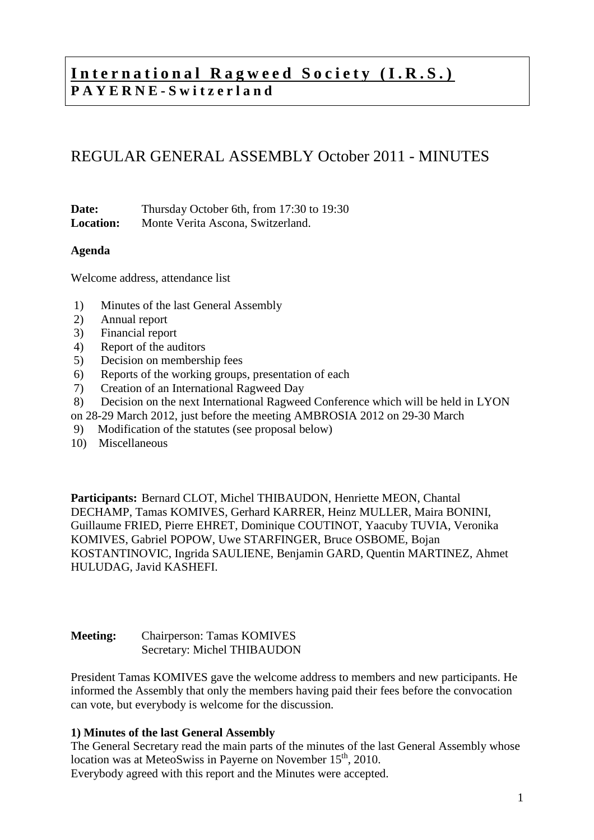# **International Ragweed Society (I.R.S.) P A Y E R N E - S w i t z e r l a n d**

# REGULAR GENERAL ASSEMBLY October 2011 - MINUTES

**Date:** Thursday October 6th, from 17:30 to 19:30 **Location:** Monte Verita Ascona, Switzerland.

#### **Agenda**

Welcome address, attendance list

- 1) Minutes of the last General Assembly
- 2) Annual report
- 3) Financial report
- 4) Report of the auditors
- 5) Decision on membership fees
- 6) Reports of the working groups, presentation of each
- 7) Creation of an International Ragweed Day
- 8) Decision on the next International Ragweed Conference which will be held in LYON
- on 28-29 March 2012, just before the meeting AMBROSIA 2012 on 29-30 March
- 9) Modification of the statutes (see proposal below)
- 10) Miscellaneous

**Participants:** Bernard CLOT, Michel THIBAUDON, Henriette MEON, Chantal DECHAMP, Tamas KOMIVES, Gerhard KARRER, Heinz MULLER, Maira BONINI, Guillaume FRIED, Pierre EHRET, Dominique COUTINOT, Yaacuby TUVIA, Veronika KOMIVES, Gabriel POPOW, Uwe STARFINGER, Bruce OSBOME, Bojan KOSTANTINOVIC, Ingrida SAULIENE, Benjamin GARD, Quentin MARTINEZ, Ahmet HULUDAG, Javid KASHEFI.

### **Meeting:** Chairperson: Tamas KOMIVES Secretary: Michel THIBAUDON

President Tamas KOMIVES gave the welcome address to members and new participants. He informed the Assembly that only the members having paid their fees before the convocation can vote, but everybody is welcome for the discussion.

#### **1) Minutes of the last General Assembly**

The General Secretary read the main parts of the minutes of the last General Assembly whose location was at MeteoSwiss in Payerne on November 15<sup>th</sup>, 2010. Everybody agreed with this report and the Minutes were accepted.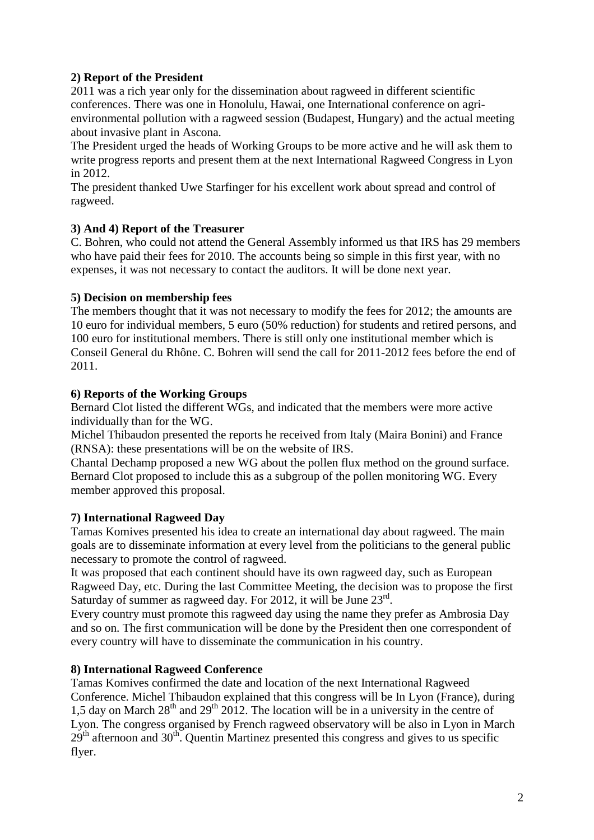## **2) Report of the President**

2011 was a rich year only for the dissemination about ragweed in different scientific conferences. There was one in Honolulu, Hawai, one International conference on agrienvironmental pollution with a ragweed session (Budapest, Hungary) and the actual meeting about invasive plant in Ascona.

The President urged the heads of Working Groups to be more active and he will ask them to write progress reports and present them at the next International Ragweed Congress in Lyon in 2012.

The president thanked Uwe Starfinger for his excellent work about spread and control of ragweed.

### **3) And 4) Report of the Treasurer**

C. Bohren, who could not attend the General Assembly informed us that IRS has 29 members who have paid their fees for 2010. The accounts being so simple in this first year, with no expenses, it was not necessary to contact the auditors. It will be done next year.

## **5) Decision on membership fees**

The members thought that it was not necessary to modify the fees for 2012; the amounts are 10 euro for individual members, 5 euro (50% reduction) for students and retired persons, and 100 euro for institutional members. There is still only one institutional member which is Conseil General du Rhône. C. Bohren will send the call for 2011-2012 fees before the end of 2011.

## **6) Reports of the Working Groups**

Bernard Clot listed the different WGs, and indicated that the members were more active individually than for the WG.

Michel Thibaudon presented the reports he received from Italy (Maira Bonini) and France (RNSA): these presentations will be on the website of IRS.

Chantal Dechamp proposed a new WG about the pollen flux method on the ground surface. Bernard Clot proposed to include this as a subgroup of the pollen monitoring WG. Every member approved this proposal.

# **7) International Ragweed Day**

Tamas Komives presented his idea to create an international day about ragweed. The main goals are to disseminate information at every level from the politicians to the general public necessary to promote the control of ragweed.

It was proposed that each continent should have its own ragweed day, such as European Ragweed Day, etc. During the last Committee Meeting, the decision was to propose the first Saturday of summer as ragweed day. For 2012, it will be June 23<sup>rd</sup>.

Every country must promote this ragweed day using the name they prefer as Ambrosia Day and so on. The first communication will be done by the President then one correspondent of every country will have to disseminate the communication in his country.

### **8) International Ragweed Conference**

Tamas Komives confirmed the date and location of the next International Ragweed Conference. Michel Thibaudon explained that this congress will be In Lyon (France), during 1,5 day on March  $28<sup>th</sup>$  and  $29<sup>th</sup>$  2012. The location will be in a university in the centre of Lyon. The congress organised by French ragweed observatory will be also in Lyon in March  $29<sup>th</sup>$  afternoon and  $30<sup>th</sup>$ . Quentin Martinez presented this congress and gives to us specific flyer.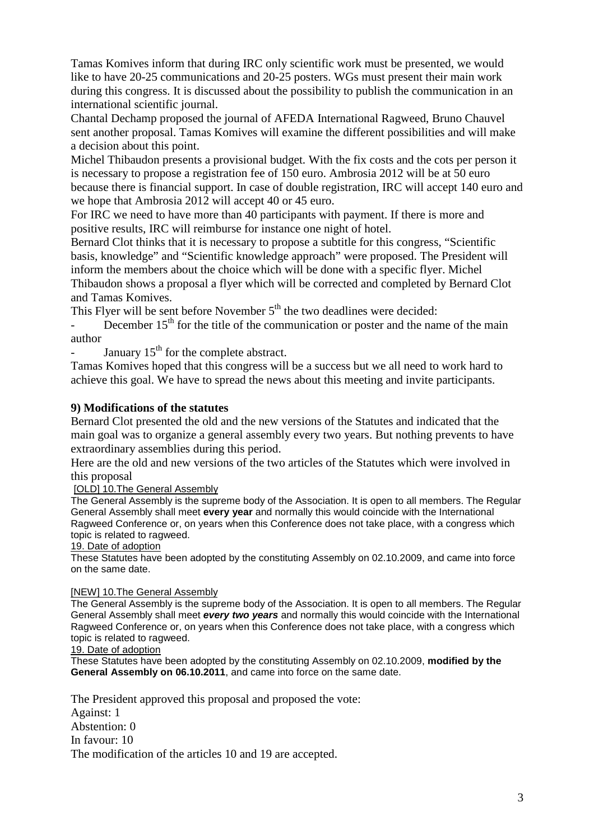Tamas Komives inform that during IRC only scientific work must be presented, we would like to have 20-25 communications and 20-25 posters. WGs must present their main work during this congress. It is discussed about the possibility to publish the communication in an international scientific journal.

Chantal Dechamp proposed the journal of AFEDA International Ragweed, Bruno Chauvel sent another proposal. Tamas Komives will examine the different possibilities and will make a decision about this point.

Michel Thibaudon presents a provisional budget. With the fix costs and the cots per person it is necessary to propose a registration fee of 150 euro. Ambrosia 2012 will be at 50 euro because there is financial support. In case of double registration, IRC will accept 140 euro and we hope that Ambrosia 2012 will accept 40 or 45 euro.

For IRC we need to have more than 40 participants with payment. If there is more and positive results, IRC will reimburse for instance one night of hotel.

Bernard Clot thinks that it is necessary to propose a subtitle for this congress, "Scientific basis, knowledge" and "Scientific knowledge approach" were proposed. The President will inform the members about the choice which will be done with a specific flyer. Michel Thibaudon shows a proposal a flyer which will be corrected and completed by Bernard Clot and Tamas Komives.

This Flyer will be sent before November 5<sup>th</sup> the two deadlines were decided:

December  $15<sup>th</sup>$  for the title of the communication or poster and the name of the main author

January  $15<sup>th</sup>$  for the complete abstract.

Tamas Komives hoped that this congress will be a success but we all need to work hard to achieve this goal. We have to spread the news about this meeting and invite participants.

### **9) Modifications of the statutes**

Bernard Clot presented the old and the new versions of the Statutes and indicated that the main goal was to organize a general assembly every two years. But nothing prevents to have extraordinary assemblies during this period.

Here are the old and new versions of the two articles of the Statutes which were involved in this proposal

[OLD] 10.The General Assembly

The General Assembly is the supreme body of the Association. It is open to all members. The Regular General Assembly shall meet **every year** and normally this would coincide with the International Ragweed Conference or, on years when this Conference does not take place, with a congress which topic is related to ragweed.

19. Date of adoption

These Statutes have been adopted by the constituting Assembly on 02.10.2009, and came into force on the same date.

#### [NEW] 10.The General Assembly

The General Assembly is the supreme body of the Association. It is open to all members. The Regular General Assembly shall meet **every two years** and normally this would coincide with the International Ragweed Conference or, on years when this Conference does not take place, with a congress which topic is related to ragweed.

#### 19. Date of adoption

These Statutes have been adopted by the constituting Assembly on 02.10.2009, **modified by the General Assembly on 06.10.2011**, and came into force on the same date.

The President approved this proposal and proposed the vote: Against: 1 Abstention: 0 In favour: 10 The modification of the articles 10 and 19 are accepted.